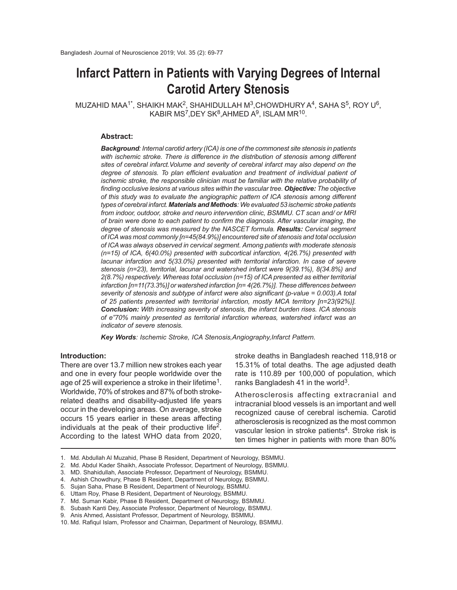# **Infarct Pattern in Patients with Varying Degrees of Internal Carotid Artery Stenosis**

 $MUZ$ AHID MAA $1^*$ , SHAIKH MAK $^2$ , SHAHIDULLAH M $^3$ ,CHOWDHURY A $^4$ , SAHA S $^5$ , ROY U $^6$ , KABIR MS<sup>7</sup>,DEY SK $^8$ ,AHMED A $^9$ , ISLAM MR $^{10}$ .

#### **Abstract:**

*Background: Internal carotid artery (ICA) is one of the commonest site stenosis in patients with ischemic stroke. There is difference in the distribution of stenosis among different sites of cerebral infarct.Volume and severity of cerebral infarct may also depend on the degree of stenosis. To plan efficient evaluation and treatment of individual patient of ischemic stroke, the responsible clinician must be familiar with the relative probability of finding occlusive lesions at various sites within the vascular tree. Objective: The objective of this study was to evaluate the angiographic pattern of ICA stenosis among different types of cerebral infarct. Materials and Methods: We evaluated 53 ischemic stroke patients from indoor, outdoor, stroke and neuro intervention clinic, BSMMU. CT scan and/ or MRI of brain were done to each patient to confirm the diagnosis. After vascular imaging, the degree of stenosis was measured by the NASCET formula. Results: Cervical segment of ICA was most commonly [n=45(84.9%)] encountered site of stenosis and total occlusion of ICA was always observed in cervical segment. Among patients with moderate stenosis (n=15) of ICA, 6(40.0%) presented with subcortical infarction, 4(26.7%) presented with lacunar infarction and 5(33.0%) presented with territorial infarction. In case of severe stenosis (n=23), territorial, lacunar and watershed infarct were 9(39.1%), 8(34.8%) and 2(8.7%) respectively. Whereas total occlusion (n=15) of ICA presented as either territorial infarction [n=11(73.3%)] or watershed infarction [n= 4(26.7%)]. These differences between severity of stenosis and subtype of infarct were also significant (p-value = 0.003).A total of 25 patients presented with territorial infarction, mostly MCA territory [n=23(92%)]. Conclusion: With increasing severity of stenosis, the infarct burden rises. ICA stenosis of e"70% mainly presented as territorial infarction whereas, watershed infarct was an indicator of severe stenosis.*

*Key Words: Ischemic Stroke, ICA Stenosis,Angiography,Infarct Pattern.*

# **Introduction:**

There are over 13.7 million new strokes each year and one in every four people worldwide over the age of 25 will experience a stroke in their lifetime<sup>1</sup>. Worldwide, 70% of strokes and 87% of both strokerelated deaths and disability-adjusted life years occur in the developing areas. On average, stroke occurs 15 years earlier in these areas affecting individuals at the peak of their productive life<sup>2</sup>. According to the latest WHO data from 2020,

stroke deaths in Bangladesh reached 118,918 or 15.31% of total deaths. The age adjusted death rate is 110.89 per 100,000 of population, which ranks Bangladesh 41 in the world<sup>3</sup>.

Atherosclerosis affecting extracranial and intracranial blood vessels is an important and well recognized cause of cerebral ischemia. Carotid atherosclerosis is recognized as the most common vascular lesion in stroke patients<sup>4</sup>. Stroke risk is ten times higher in patients with more than 80%

<sup>1.</sup> Md. Abdullah Al Muzahid, Phase B Resident, Department of Neurology, BSMMU.

<sup>2.</sup> Md. Abdul Kader Shaikh, Associate Professor, Department of Neurology, BSMMU.

<sup>3.</sup> MD. Shahidullah, Associate Professor, Department of Neurology, BSMMU.

<sup>4.</sup> Ashish Chowdhury, Phase B Resident, Department of Neurology, BSMMU.

<sup>5.</sup> Sujan Saha, Phase B Resident, Department of Neurology, BSMMU.

<sup>6.</sup> Uttam Roy, Phase B Resident, Department of Neurology, BSMMU.

<sup>7.</sup> Md. Suman Kabir, Phase B Resident, Department of Neurology, BSMMU.

<sup>8.</sup> Subash Kanti Dey, Associate Professor, Department of Neurology, BSMMU.

<sup>9.</sup> Anis Ahmed, Assistant Professor, Department of Neurology, BSMMU.

<sup>10.</sup> Md. Rafiqul Islam, Professor and Chairman, Department of Neurology, BSMMU.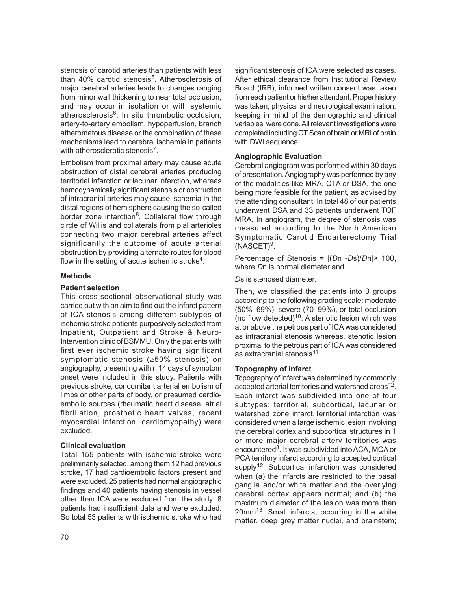stenosis of carotid arteries than patients with less than 40% carotid stenosis<sup>5</sup>. Atherosclerosis of major cerebral arteries leads to changes ranging from minor wall thickening to near total occlusion, and may occur in isolation or with systemic atherosclerosis<sup>6</sup>. In situ thrombotic occlusion, artery-to-artery embolism, hypoperfusion, branch atheromatous disease or the combination of these mechanisms lead to cerebral ischemia in patients with atherosclerotic stenosis<sup>7</sup>.

Embolism from proximal artery may cause acute obstruction of distal cerebral arteries producing territorial infarction or lacunar infarction, whereas hemodynamically significant stenosis or obstruction of intracranial arteries may cause ischemia in the distal regions of hemisphere causing the so-called border zone infarction<sup>8</sup>. Collateral flow through circle of Willis and collaterals from pial arterioles connecting two major cerebral arteries affect significantly the outcome of acute arterial obstruction by providing alternate routes for blood flow in the setting of acute ischemic stroke<sup>4</sup>.

# **Methods**

#### **Patient selection**

This cross-sectional observational study was carried out with an aim to find out the infarct pattern of ICA stenosis among different subtypes of ischemic stroke patients purposively selected from Inpatient, Outpatient and Stroke & Neuro-Intervention clinic of BSMMU. Only the patients with first ever ischemic stroke having significant symptomatic stenosis (≥50% stenosis) on angiography, presenting within 14 days of symptom onset were included in this study. Patients with previous stroke, concomitant arterial embolism of limbs or other parts of body, or presumed cardioembolic sources (rheumatic heart disease, atrial fibrillation, prosthetic heart valves, recent myocardial infarction, cardiomyopathy) were excluded.

# **Clinical evaluation**

Total 155 patients with ischemic stroke were preliminarily selected, among them 12 had previous stroke, 17 had cardioembolic factors present and were excluded. 25 patients had normal angiographic findings and 40 patients having stenosis in vessel other than ICA were excluded from the study. 8 patients had insufficient data and were excluded. So total 53 patients with ischemic stroke who had

significant stenosis of ICA were selected as cases. After ethical clearance from Institutional Review Board (IRB), informed written consent was taken from each patient or his/her attendant. Proper history was taken, physical and neurological examination, keeping in mind of the demographic and clinical variables, were done. All relevant investigations were completed including CT Scan of brain or MRI of brain with DWI sequence.

#### **Angiographic Evaluation**

Cerebral angiogram was performed within 30 days of presentation. Angiography was performed by any of the modalities like MRA, CTA or DSA, the one being more feasible for the patient, as advised by the attending consultant. In total 48 of our patients underwent DSA and 33 patients underwent TOF MRA. In angiogram, the degree of stenosis was measured according to the North American Symptomatic Carotid Endarterectomy Trial  $(NASCET)^9$ .

Percentage of Stenosis = [(*D*n -*D*s)/*D*n]× 100, where *D*n is normal diameter and

*D*s is stenosed diameter.

Then, we classified the patients into 3 groups according to the following grading scale: moderate (50%–69%), severe (70–99%), or total occlusion (no flow detected) $10$ . A stenotic lesion which was at or above the petrous part of ICA was considered as intracranial stenosis whereas, stenotic lesion proximal to the petrous part of ICA was considered as extracranial stenosis<sup>11</sup>.

# **Topography of infarct**

Topography of infarct was determined by commonly accepted arterial territories and watershed areas<sup>12</sup>. Each infarct was subdivided into one of four subtypes: territorial, subcortical, lacunar or watershed zone infarct.Territorial infarction was considered when a large ischemic lesion involving the cerebral cortex and subcortical structures in 1 or more major cerebral artery territories was encountered<sup>8</sup>. It was subdivided into ACA, MCA or PCA territory infarct according to accepted cortical supply<sup>12</sup>. Subcortical infarction was considered when (a) the infarcts are restricted to the basal ganglia and/or white matter and the overlying cerebral cortex appears normal; and (b) the maximum diameter of the lesion was more than 20mm13. Small infarcts, occurring in the white matter, deep grey matter nuclei, and brainstem;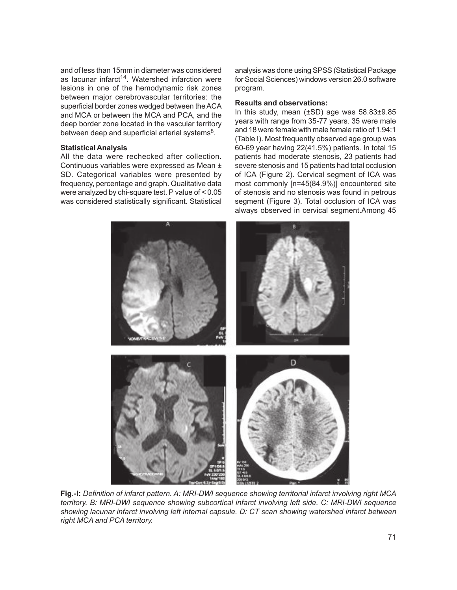and of less than 15mm in diameter was considered as lacunar infarct<sup>14</sup>. Watershed infarction were lesions in one of the hemodynamic risk zones between major cerebrovascular territories: the superficial border zones wedged between the ACA and MCA or between the MCA and PCA, and the deep border zone located in the vascular territory between deep and superficial arterial systems $^8$ .

#### **Statistical Analysis**

All the data were rechecked after collection. Continuous variables were expressed as Mean ± SD. Categorical variables were presented by frequency, percentage and graph. Qualitative data were analyzed by chi-square test. P value of < 0.05 was considered statistically significant. Statistical analysis was done using SPSS (Statistical Package for Social Sciences) windows version 26.0 software program.

#### **Results and observations:**

In this study, mean (±SD) age was 58.83±9.85 years with range from 35-77 years. 35 were male and 18 were female with male female ratio of 1.94:1 (Table I). Most frequently observed age group was 60-69 year having 22(41.5%) patients. In total 15 patients had moderate stenosis, 23 patients had severe stenosis and 15 patients had total occlusion of ICA (Figure 2). Cervical segment of ICA was most commonly [n=45(84.9%)] encountered site of stenosis and no stenosis was found in petrous segment (Figure 3). Total occlusion of ICA was always observed in cervical segment.Among 45



**Fig.-I:** *Definition of infarct pattern. A: MRI-DWI sequence showing territorial infarct involving right MCA territory. B: MRI-DWI sequence showing subcortical infarct involving left side. C: MRI-DWI sequence showing lacunar infarct involving left internal capsule. D: CT scan showing watershed infarct between right MCA and PCA territory.*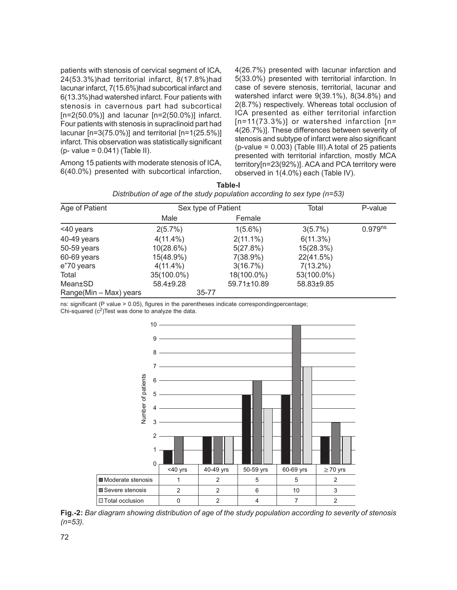patients with stenosis of cervical segment of ICA, 24(53.3%)had territorial infarct, 8(17.8%)had lacunar infarct, 7(15.6%)had subcortical infarct and 6(13.3%)had watershed infarct. Four patients with stenosis in cavernous part had subcortical  $[n=2(50.0\%)]$  and lacunar  $[n=2(50.0\%)]$  infarct. Four patients with stenosis in supraclinoid part had lacunar [n=3(75.0%)] and territorial [n=1(25.5%)] infarct. This observation was statistically significant (p- value = 0.041) (Table II).

Among 15 patients with moderate stenosis of ICA, 6(40.0%) presented with subcortical infarction, 4(26.7%) presented with lacunar infarction and 5(33.0%) presented with territorial infarction. In case of severe stenosis, territorial, lacunar and watershed infarct were 9(39.1%), 8(34.8%) and 2(8.7%) respectively. Whereas total occlusion of ICA presented as either territorial infarction  $[n=11(73.3\%)$ ] or watershed infarction  $[n=$ 4(26.7%)]. These differences between severity of stenosis and subtype of infarct were also significant  $(p-value = 0.003)$  (Table III). A total of 25 patients presented with territorial infarction, mostly MCA territory[n=23(92%)]. ACA and PCA territory were observed in 1(4.0%) each (Table IV).

| Age of Patient         | Sex type of Patient |           |             | Total       | P-value             |
|------------------------|---------------------|-----------|-------------|-------------|---------------------|
|                        | Male                |           | Female      |             |                     |
| <40 years              | 2(5.7%)             |           | $1(5.6\%)$  | 3(5.7%)     | 0.979 <sup>ns</sup> |
| 40-49 years            | $4(11.4\%)$         |           | $2(11.1\%)$ | 6(11.3%)    |                     |
| 50-59 years            | 10(28.6%)           |           | 5(27.8%)    | 15(28.3%)   |                     |
| 60-69 years            | 15(48.9%)           |           | 7(38.9%)    | 22(41.5%)   |                     |
| e"70 years             | $4(11.4\%)$         |           | 3(16.7%)    | $7(13.2\%)$ |                     |
| Total                  | 35(100.0%)          |           | 18(100.0%)  | 53(100.0%)  |                     |
| Mean±SD                | 58.4±9.28           |           | 59.71±10.89 | 58.83±9.85  |                     |
| Range(Min – Max) years |                     | $35 - 77$ |             |             |                     |

| Table-I                                                                    |  |
|----------------------------------------------------------------------------|--|
| Distribution of age of the study population according to sex type $(n=53)$ |  |

ns: significant (P value > 0.05), figures in the parentheses indicate correspondingpercentage;

Chi-squared  $(c^2)$ Test was done to analyze the data.



**Fig.-2:** *Bar diagram showing distribution of age of the study population according to severity of stenosis (n=53).*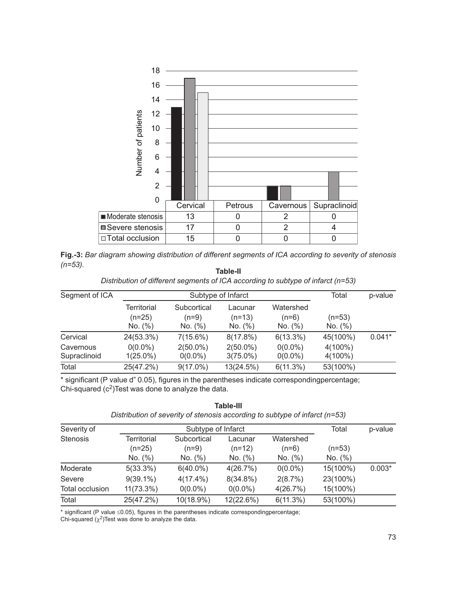

|            |  | Fig.-3: Bar diagram showing distribution of different segments of ICA according to severity of stenosis |  |  |  |
|------------|--|---------------------------------------------------------------------------------------------------------|--|--|--|
| $(n=53)$ . |  |                                                                                                         |  |  |  |

| Table-II                                                                         |
|----------------------------------------------------------------------------------|
| Distribution of different segments of ICA according to subtype of infarct (n=53) |

| Segment of ICA |                                    | Subtype of Infarct              |                                | Total                           | p-value             |          |
|----------------|------------------------------------|---------------------------------|--------------------------------|---------------------------------|---------------------|----------|
|                | Territorial<br>$(n=25)$<br>No. (%) | Subcortical<br>(n=9)<br>No. (%) | Lacunar<br>$(n=13)$<br>No. (%) | Watershed<br>$(n=6)$<br>No. (%) | $(n=53)$<br>No. (%) |          |
| Cervical       | 24(53.3%)                          | $7(15.6\%)$                     | $8(17.8\%)$                    | $6(13.3\%)$                     | 45(100%)            | $0.041*$ |
| Cavernous      | $0(0.0\%)$                         | $2(50.0\%)$                     | $2(50.0\%)$                    | $0(0.0\%)$                      | $4(100\%)$          |          |
| Supraclinoid   | $1(25.0\%)$                        | $0(0.0\%)$                      | $3(75.0\%)$                    | $0(0.0\%)$                      | $4(100\%)$          |          |
| Total          | 25(47.2%)                          | $9(17.0\%)$                     | 13(24.5%)                      | 6(11.3%)                        | 53(100%)            |          |

\* significant (P value d" 0.05), figures in the parentheses indicate correspondingpercentage; Chi-squared  $(c^2)$ Test was done to analyze the data.

Severity of Subtype of Infarct Total p-value Stenosis Territorial Subcortical Lacunar Watershed (n=25) (n=9) (n=12) (n=6) (n=53) No. (%) No. (%) No. (%) No. (%) No. (%) Moderate 5(33.3%) 6(40.0%) 4(26.7%) 0(0.0%) 15(100%) 0.003\* Severe 9(39.1%) 4(17.4%) 8(34.8%) 2(8.7%) 23(100%) Total occlusion 11(73.3%) 0(0.0%) 0(0.0%) 4(26.7%) 15(100%) Total 25(47.2%) 10(18.9%) 12(22.6%) 6(11.3%) 53(100%)

**Table-III** *Distribution of severity of stenosis according to subtype of infarct (n=53)*

\* significant (P value ≤0.05), figures in the parentheses indicate correspondingpercentage;

Chi-squared  $(\chi^2)$ Test was done to analyze the data.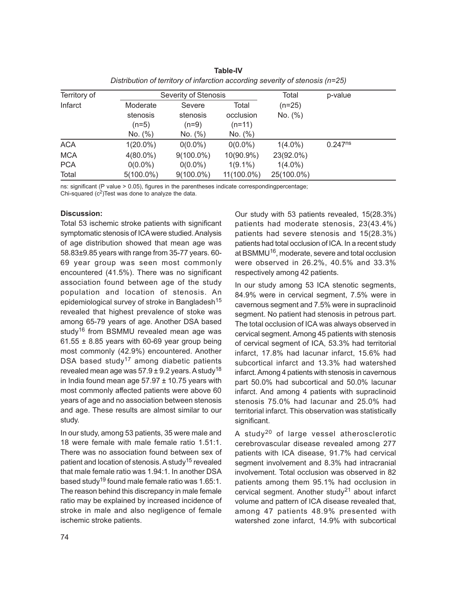| Territory of |              | Severity of Stenosis |               |            | p-value      |  |
|--------------|--------------|----------------------|---------------|------------|--------------|--|
| Infarct      | Moderate     | Severe               | Total         | $(n=25)$   |              |  |
|              | stenosis     | stenosis             | occlusion     | No. (%)    |              |  |
|              | $(n=5)$      | $(n=9)$              | $(n=11)$      |            |              |  |
|              | No. (%)      | No. (%)              | No. (%)       |            |              |  |
| <b>ACA</b>   | $1(20.0\%)$  | $0(0.0\%)$           | $0(0.0\%)$    | $1(4.0\%)$ | $0.247^{ns}$ |  |
| <b>MCA</b>   | $4(80.0\%)$  | $9(100.0\%)$         | 10(90.9%)     | 23(92.0%)  |              |  |
| <b>PCA</b>   | $0(0.0\%)$   | $0(0.0\%)$           | $1(9.1\%)$    | $1(4.0\%)$ |              |  |
| Total        | $5(100.0\%)$ | $9(100.0\%)$         | $11(100.0\%)$ | 25(100.0%) |              |  |

**Table-IV** *Distribution of territory of infarction according severity of stenosis (n=25)*

ns: significant (P value > 0.05), figures in the parentheses indicate correspondingpercentage; Chi-squared  $(c^2)$ Test was done to analyze the data.

# **Discussion:**

Total 53 ischemic stroke patients with significant symptomatic stenosis of ICA were studied. Analysis of age distribution showed that mean age was 58.83±9.85 years with range from 35-77 years. 60- 69 year group was seen most commonly encountered (41.5%). There was no significant association found between age of the study population and location of stenosis. An epidemiological survey of stroke in Bangladesh $15$ revealed that highest prevalence of stoke was among 65-79 years of age. Another DSA based study<sup>16</sup> from BSMMU revealed mean age was 61.55  $\pm$  8.85 years with 60-69 year group being most commonly (42.9%) encountered. Another DSA based study<sup>17</sup> among diabetic patients revealed mean age was  $57.9 \pm 9.2$  years. A study<sup>18</sup> in India found mean age  $57.97 \pm 10.75$  years with most commonly affected patients were above 60 years of age and no association between stenosis and age. These results are almost similar to our study.

In our study, among 53 patients, 35 were male and 18 were female with male female ratio 1.51:1. There was no association found between sex of patient and location of stenosis. A study<sup>15</sup> revealed that male female ratio was 1.94:1. In another DSA based study<sup>19</sup> found male female ratio was 1.65:1. The reason behind this discrepancy in male female ratio may be explained by increased incidence of stroke in male and also negligence of female ischemic stroke patients.

Our study with 53 patients revealed, 15(28.3%) patients had moderate stenosis, 23(43.4%) patients had severe stenosis and 15(28.3%) patients had total occlusion of ICA. In a recent study at BSMMU<sup>16</sup>, moderate, severe and total occlusion were observed in 26.2%, 40.5% and 33.3% respectively among 42 patients.

In our study among 53 ICA stenotic segments, 84.9% were in cervical segment, 7.5% were in cavernous segment and 7.5% were in supraclinoid segment. No patient had stenosis in petrous part. The total occlusion of ICA was always observed in cervical segment. Among 45 patients with stenosis of cervical segment of ICA, 53.3% had territorial infarct, 17.8% had lacunar infarct, 15.6% had subcortical infarct and 13.3% had watershed infarct. Among 4 patients with stenosis in cavernous part 50.0% had subcortical and 50.0% lacunar infarct. And among 4 patients with supraclinoid stenosis 75.0% had lacunar and 25.0% had territorial infarct. This observation was statistically significant.

A study<sup>20</sup> of large vessel atherosclerotic cerebrovascular disease revealed among 277 patients with ICA disease, 91.7% had cervical segment involvement and 8.3% had intracranial involvement. Total occlusion was observed in 82 patients among them 95.1% had occlusion in cervical segment. Another study<sup>21</sup> about infarct volume and pattern of ICA disease revealed that, among 47 patients 48.9% presented with watershed zone infarct, 14.9% with subcortical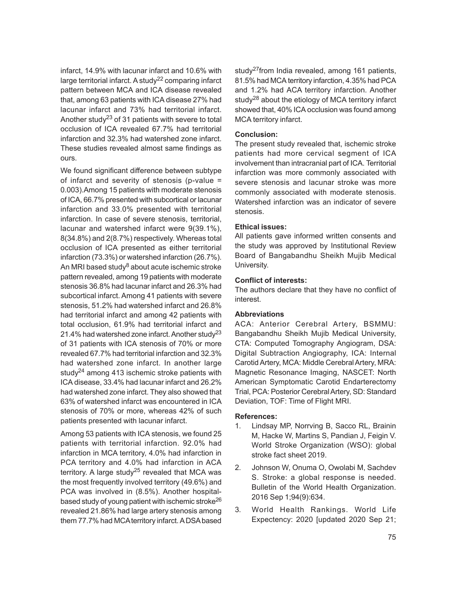infarct, 14.9% with lacunar infarct and 10.6% with large territorial infarct. A study<sup>22</sup> comparing infarct pattern between MCA and ICA disease revealed that, among 63 patients with ICA disease 27% had lacunar infarct and 73% had territorial infarct. Another study<sup>23</sup> of 31 patients with severe to total occlusion of ICA revealed 67.7% had territorial infarction and 32.3% had watershed zone infarct. These studies revealed almost same findings as ours.

We found significant difference between subtype of infarct and severity of stenosis (p-value = 0.003).Among 15 patients with moderate stenosis of ICA, 66.7% presented with subcortical or lacunar infarction and 33.0% presented with territorial infarction. In case of severe stenosis, territorial, lacunar and watershed infarct were 9(39.1%), 8(34.8%) and 2(8.7%) respectively. Whereas total occlusion of ICA presented as either territorial infarction (73.3%) or watershed infarction (26.7%). An MRI based study<sup>8</sup> about acute ischemic stroke pattern revealed, among 19 patients with moderate stenosis 36.8% had lacunar infarct and 26.3% had subcortical infarct. Among 41 patients with severe stenosis, 51.2% had watershed infarct and 26.8% had territorial infarct and among 42 patients with total occlusion, 61.9% had territorial infarct and 21.4% had watershed zone infarct. Another study<sup>23</sup> of 31 patients with ICA stenosis of 70% or more revealed 67.7% had territorial infarction and 32.3% had watershed zone infarct. In another large study<sup>24</sup> among 413 ischemic stroke patients with ICA disease, 33.4% had lacunar infarct and 26.2% had watershed zone infarct. They also showed that 63% of watershed infarct was encountered in ICA stenosis of 70% or more, whereas 42% of such patients presented with lacunar infarct.

Among 53 patients with ICA stenosis, we found 25 patients with territorial infarction. 92.0% had infarction in MCA territory, 4.0% had infarction in PCA territory and 4.0% had infarction in ACA territory. A large study<sup>25</sup> revealed that MCA was the most frequently involved territory (49.6%) and PCA was involved in (8.5%). Another hospitalbased study of young patient with ischemic stroke<sup>26</sup> revealed 21.86% had large artery stenosis among them 77.7% had MCA territory infarct. A DSA based

study<sup>27</sup> from India revealed, among 161 patients, 81.5% had MCA territory infarction, 4.35% had PCA and 1.2% had ACA territory infarction. Another study $^{28}$  about the etiology of MCA territory infarct showed that, 40% ICA occlusion was found among MCA territory infarct.

# **Conclusion:**

The present study revealed that, ischemic stroke patients had more cervical segment of ICA involvement than intracranial part of ICA. Territorial infarction was more commonly associated with severe stenosis and lacunar stroke was more commonly associated with moderate stenosis. Watershed infarction was an indicator of severe stenosis.

#### **Ethical issues:**

All patients gave informed written consents and the study was approved by Institutional Review Board of Bangabandhu Sheikh Mujib Medical University.

#### **Conflict of interests:**

The authors declare that they have no conflict of interest.

#### **Abbreviations**

ACA: Anterior Cerebral Artery, BSMMU: Bangabandhu Sheikh Mujib Medical University, CTA: Computed Tomography Angiogram, DSA: Digital Subtraction Angiography, ICA: Internal Carotid Artery, MCA: Middle Cerebral Artery, MRA: Magnetic Resonance Imaging, NASCET: North American Symptomatic Carotid Endarterectomy Trial, PCA: Posterior Cerebral Artery, SD: Standard Deviation, TOF: Time of Flight MRI.

#### **References:**

- 1. Lindsay MP, Norrving B, Sacco RL, Brainin M, Hacke W, Martins S, Pandian J, Feigin V. World Stroke Organization (WSO): global stroke fact sheet 2019.
- 2. Johnson W, Onuma O, Owolabi M, Sachdev S. Stroke: a global response is needed. Bulletin of the World Health Organization. 2016 Sep 1;94(9):634.
- 3. World Health Rankings. World Life Expectency: 2020 [updated 2020 Sep 21;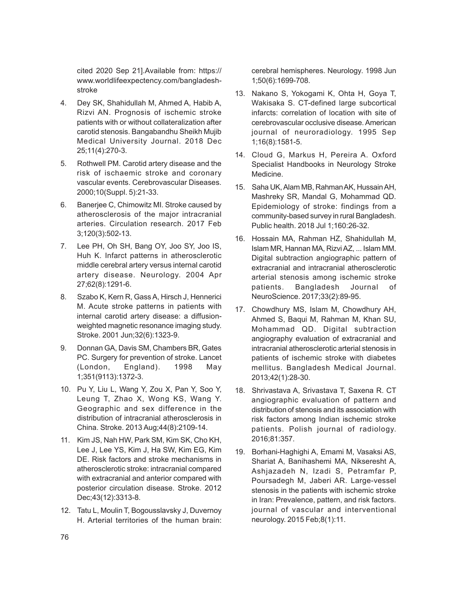cited 2020 Sep 21].Available from: https:// www.worldlifeexpectency.com/bangladeshstroke

- 4. Dey SK, Shahidullah M, Ahmed A, Habib A, Rizvi AN. Prognosis of ischemic stroke patients with or without collateralization after carotid stenosis. Bangabandhu Sheikh Mujib Medical University Journal. 2018 Dec 25;11(4):270-3.
- 5. Rothwell PM. Carotid artery disease and the risk of ischaemic stroke and coronary vascular events. Cerebrovascular Diseases. 2000;10(Suppl. 5):21-33.
- 6. Banerjee C, Chimowitz MI. Stroke caused by atherosclerosis of the major intracranial arteries. Circulation research. 2017 Feb 3;120(3):502-13.
- 7. Lee PH, Oh SH, Bang OY, Joo SY, Joo IS, Huh K. Infarct patterns in atherosclerotic middle cerebral artery versus internal carotid artery disease. Neurology. 2004 Apr 27;62(8):1291-6.
- 8. Szabo K, Kern R, Gass A, Hirsch J, Hennerici M. Acute stroke patterns in patients with internal carotid artery disease: a diffusionweighted magnetic resonance imaging study. Stroke. 2001 Jun;32(6):1323-9.
- 9. Donnan GA, Davis SM, Chambers BR, Gates PC. Surgery for prevention of stroke. Lancet (London, England). 1998 May 1;351(9113):1372-3.
- 10. Pu Y, Liu L, Wang Y, Zou X, Pan Y, Soo Y, Leung T, Zhao X, Wong KS, Wang Y. Geographic and sex difference in the distribution of intracranial atherosclerosis in China. Stroke. 2013 Aug;44(8):2109-14.
- 11. Kim JS, Nah HW, Park SM, Kim SK, Cho KH, Lee J, Lee YS, Kim J, Ha SW, Kim EG, Kim DE. Risk factors and stroke mechanisms in atherosclerotic stroke: intracranial compared with extracranial and anterior compared with posterior circulation disease. Stroke. 2012 Dec;43(12):3313-8.
- 12. Tatu L, Moulin T, Bogousslavsky J, Duvernoy H. Arterial territories of the human brain:

cerebral hemispheres. Neurology. 1998 Jun 1;50(6):1699-708.

- 13. Nakano S, Yokogami K, Ohta H, Goya T, Wakisaka S. CT-defined large subcortical infarcts: correlation of location with site of cerebrovascular occlusive disease. American journal of neuroradiology. 1995 Sep 1;16(8):1581-5.
- 14. Cloud G, Markus H, Pereira A. Oxford Specialist Handbooks in Neurology Stroke Medicine.
- 15. Saha UK, Alam MB, Rahman AK, Hussain AH, Mashreky SR, Mandal G, Mohammad QD. Epidemiology of stroke: findings from a community-based survey in rural Bangladesh. Public health. 2018 Jul 1;160:26-32.
- 16. Hossain MA, Rahman HZ, Shahidullah M, Islam MR, Hannan MA, Rizvi AZ, ... Islam MM. Digital subtraction angiographic pattern of extracranial and intracranial atherosclerotic arterial stenosis among ischemic stroke patients. Bangladesh Journal of NeuroScience. 2017;33(2):89-95.
- 17. Chowdhury MS, Islam M, Chowdhury AH, Ahmed S, Baqui M, Rahman M, Khan SU, Mohammad QD. Digital subtraction angiography evaluation of extracranial and intracranial atherosclerotic arterial stenosis in patients of ischemic stroke with diabetes mellitus. Bangladesh Medical Journal. 2013;42(1):28-30.
- 18. Shrivastava A, Srivastava T, Saxena R. CT angiographic evaluation of pattern and distribution of stenosis and its association with risk factors among Indian ischemic stroke patients. Polish journal of radiology. 2016;81:357.
- 19. Borhani-Haghighi A, Emami M, Vasaksi AS, Shariat A, Banihashemi MA, Nikseresht A, Ashjazadeh N, Izadi S, Petramfar P, Poursadegh M, Jaberi AR. Large-vessel stenosis in the patients with ischemic stroke in Iran: Prevalence, pattern, and risk factors. journal of vascular and interventional neurology. 2015 Feb;8(1):11.